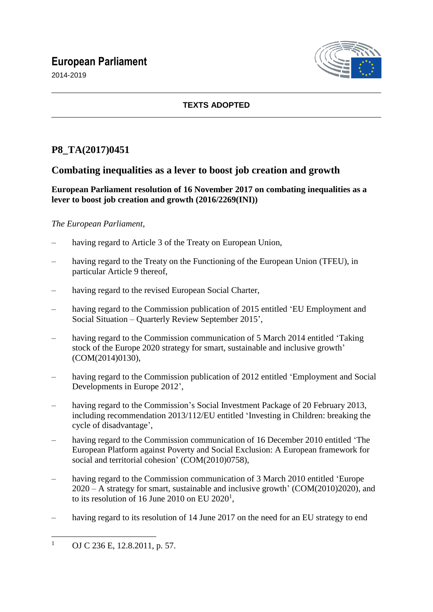# **European Parliament**

2014-2019



## **TEXTS ADOPTED**

# **P8\_TA(2017)0451**

## **Combating inequalities as a lever to boost job creation and growth**

**European Parliament resolution of 16 November 2017 on combating inequalities as a lever to boost job creation and growth (2016/2269(INI))**

## *The European Parliament*,

- having regard to Article 3 of the Treaty on European Union,
- having regard to the Treaty on the Functioning of the European Union (TFEU), in particular Article 9 thereof,
- having regard to the revised European Social Charter,
- having regard to the Commission publication of 2015 entitled 'EU Employment and Social Situation – Quarterly Review September 2015',
- having regard to the Commission communication of 5 March 2014 entitled 'Taking stock of the Europe 2020 strategy for smart, sustainable and inclusive growth' (COM(2014)0130),
- having regard to the Commission publication of 2012 entitled 'Employment and Social Developments in Europe 2012',
- having regard to the Commission's Social Investment Package of 20 February 2013, including recommendation 2013/112/EU entitled 'Investing in Children: breaking the cycle of disadvantage',
- having regard to the Commission communication of 16 December 2010 entitled 'The European Platform against Poverty and Social Exclusion: A European framework for social and territorial cohesion' (COM(2010)0758),
- having regard to the Commission communication of 3 March 2010 entitled 'Europe 2020 – A strategy for smart, sustainable and inclusive growth' (COM(2010)2020), and to its resolution of 16 June 2010 on EU 2020<sup>1</sup>,
- having regard to its resolution of 14 June 2017 on the need for an EU strategy to end

 $\mathbf{1}$ OJ C 236 E, 12.8.2011, p. 57.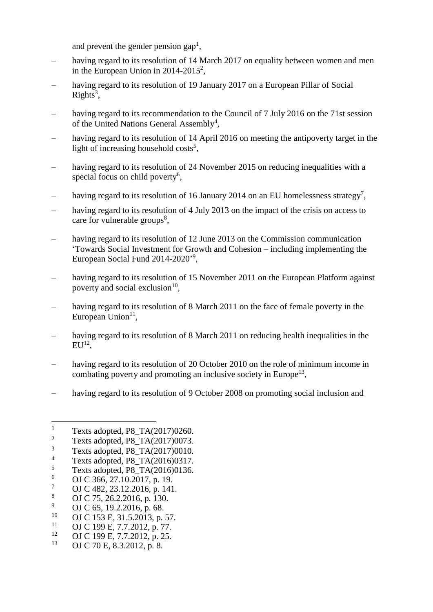and prevent the gender pension gap<sup>1</sup>,

- having regard to its resolution of 14 March 2017 on equality between women and men in the European Union in  $2014 - 2015^2$ ,
- having regard to its resolution of 19 January 2017 on a European Pillar of Social  $Right's<sup>3</sup>$ ,
- having regard to its recommendation to the Council of 7 July 2016 on the 71st session of the United Nations General Assembly<sup>4</sup>,
- having regard to its resolution of 14 April 2016 on meeting the antipoverty target in the light of increasing household  $costs^5$ ,
- having regard to its resolution of 24 November 2015 on reducing inequalities with a special focus on child poverty<sup>6</sup>,
- having regard to its resolution of 16 January 2014 on an EU homelessness strategy<sup>7</sup>,
- having regard to its resolution of 4 July 2013 on the impact of the crisis on access to care for vulnerable groups<sup>8</sup>,
- having regard to its resolution of 12 June 2013 on the Commission communication 'Towards Social Investment for Growth and Cohesion – including implementing the European Social Fund 2014-2020'<sup>9</sup>,
- having regard to its resolution of 15 November 2011 on the European Platform against poverty and social exclusion $10$ ,
- having regard to its resolution of 8 March 2011 on the face of female poverty in the European Union $11$ ,
- having regard to its resolution of 8 March 2011 on reducing health inequalities in the  ${\rm EU^{12}},$
- having regard to its resolution of 20 October 2010 on the role of minimum income in combating poverty and promoting an inclusive society in Europe<sup>13</sup>,
- having regard to its resolution of 9 October 2008 on promoting social inclusion and

 $\frac{7}{8}$  OJ C 482, 23.12.2016, p. 141.

- <sup>10</sup> OJ C 153 E, 31.5.2013, p. 57.
- <sup>11</sup> OJ C 199 E, 7.7.2012, p. 77.

 $\mathbf{1}$ <sup>1</sup> Texts adopted, P8\_TA(2017)0260.<br><sup>2</sup> Texts adopted, P8\_TA(2017)0073

 $\frac{2}{3}$  Texts adopted, P8\_TA(2017)0073.

<sup>3</sup> Texts adopted, P8\_TA(2017)0010.

<sup>&</sup>lt;sup>4</sup> Texts adopted, P8\_TA(2016)0317.

 $^{5}$  Texts adopted, P8\_TA(2016)0136.

 $\frac{6}{7}$  OJ C 366, 27.10.2017, p. 19.

<sup>&</sup>lt;sup>8</sup> OJ C 75, 26.2.2016, p. 130.<br><sup>9</sup> OJ C 65, 10.2.2016, p. 68.

<sup>&</sup>lt;sup>9</sup> OJ C 65, 19.2.2016, p. 68.<br><sup>10</sup> OJ C 153 E 31.5 2013. p.

<sup>&</sup>lt;sup>12</sup> OJ C 199 E, 7.7.2012, p. 25.

OJ C 70 E, 8.3.2012, p. 8.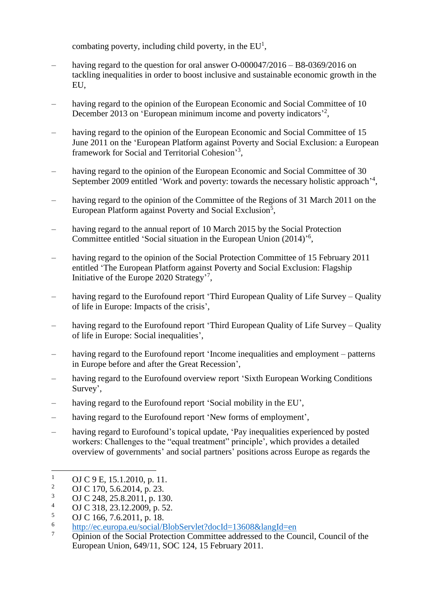combating poverty, including child poverty, in the  $EU<sup>1</sup>$ ,

- having regard to the question for oral answer  $O$ -000047/2016 B8-0369/2016 on tackling inequalities in order to boost inclusive and sustainable economic growth in the EU,
- having regard to the opinion of the European Economic and Social Committee of 10 December 2013 on 'European minimum income and poverty indicators'<sup>2</sup>,
- having regard to the opinion of the European Economic and Social Committee of 15 June 2011 on the 'European Platform against Poverty and Social Exclusion: a European framework for Social and Territorial Cohesion<sup>3</sup>,
- having regard to the opinion of the European Economic and Social Committee of 30 September 2009 entitled 'Work and poverty: towards the necessary holistic approach<sup>-4</sup>,
- having regard to the opinion of the Committee of the Regions of 31 March 2011 on the European Platform against Poverty and Social Exclusion<sup>5</sup>,
- having regard to the annual report of 10 March 2015 by the Social Protection Committee entitled 'Social situation in the European Union (2014)<sup>'6</sup>,
- having regard to the opinion of the Social Protection Committee of 15 February 2011 entitled 'The European Platform against Poverty and Social Exclusion: Flagship Initiative of the Europe 2020 Strategy'<sup>7</sup>,
- having regard to the Eurofound report 'Third European Quality of Life Survey Quality of life in Europe: Impacts of the crisis',
- having regard to the Eurofound report 'Third European Quality of Life Survey Quality of life in Europe: Social inequalities',
- having regard to the Eurofound report 'Income inequalities and employment patterns in Europe before and after the Great Recession',
- having regard to the Eurofound overview report 'Sixth European Working Conditions Survey',
- having regard to the Eurofound report 'Social mobility in the EU',
- having regard to the Eurofound report 'New forms of employment',
- having regard to Eurofound's topical update, 'Pay inequalities experienced by posted workers: Challenges to the "equal treatment" principle', which provides a detailed overview of governments' and social partners' positions across Europe as regards the

<sup>&</sup>lt;sup>1</sup> OJ C 9 E, 15.1.2010, p. 11.<br><sup>2</sup> OJ C 170, 5.6.2014, p. 23.

<sup>&</sup>lt;sup>2</sup> OJ C 170, 5.6.2014, p. 23.

 $\frac{3}{4}$  OJ C 248, 25.8.2011, p. 130.

 $^{4}$  OJ C 318, 23.12.2009, p. 52.

OJ C 166, 7.6.2011, p. 18.

<sup>6</sup> <http://ec.europa.eu/social/BlobServlet?docId=13608&langId=en>

<sup>&</sup>lt;sup>7</sup> Opinion of the Social Protection Committee addressed to the Council, Council of the European Union, 649/11, SOC 124, 15 February 2011.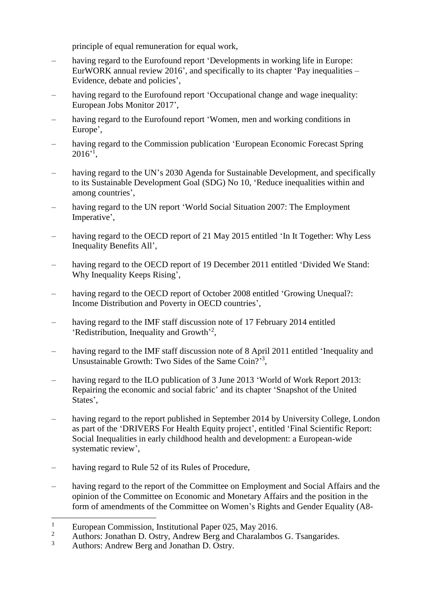principle of equal remuneration for equal work,

- having regard to the Eurofound report 'Developments in working life in Europe: EurWORK annual review 2016', and specifically to its chapter 'Pay inequalities – Evidence, debate and policies',
- having regard to the Eurofound report 'Occupational change and wage inequality: European Jobs Monitor 2017',
- having regard to the Eurofound report 'Women, men and working conditions in Europe',
- having regard to the Commission publication 'European Economic Forecast Spring  $2016$ <sup>2</sup>,
- having regard to the UN's 2030 Agenda for Sustainable Development, and specifically to its Sustainable Development Goal (SDG) No 10, 'Reduce inequalities within and among countries',
- having regard to the UN report 'World Social Situation 2007: The Employment Imperative',
- having regard to the OECD report of 21 May 2015 entitled 'In It Together: Why Less Inequality Benefits All',
- having regard to the OECD report of 19 December 2011 entitled 'Divided We Stand: Why Inequality Keeps Rising',
- having regard to the OECD report of October 2008 entitled 'Growing Unequal?: Income Distribution and Poverty in OECD countries',
- having regard to the IMF staff discussion note of 17 February 2014 entitled 'Redistribution, Inequality and Growth'<sup>2</sup>,
- having regard to the IMF staff discussion note of 8 April 2011 entitled 'Inequality and Unsustainable Growth: Two Sides of the Same Coin?'<sup>3</sup>,
- having regard to the ILO publication of 3 June 2013 'World of Work Report 2013: Repairing the economic and social fabric' and its chapter 'Snapshot of the United States',
- having regard to the report published in September 2014 by University College, London as part of the 'DRIVERS For Health Equity project', entitled 'Final Scientific Report: Social Inequalities in early childhood health and development: a European-wide systematic review',
- having regard to Rule 52 of its Rules of Procedure,
- having regard to the report of the Committee on Employment and Social Affairs and the opinion of the Committee on Economic and Monetary Affairs and the position in the form of amendments of the Committee on Women's Rights and Gender Equality (A8-

<sup>3</sup> Authors: Andrew Berg and Jonathan D. Ostry.

 $\overline{a}$ <sup>1</sup> European Commission, Institutional Paper 025, May 2016.<br><sup>2</sup> Authoral Janathan D. Ostw. Andrew Bara and Chamlamba

<sup>&</sup>lt;sup>2</sup> Authors: Jonathan D. Ostry, Andrew Berg and Charalambos G. Tsangarides.<br>Authors: Andrew Berg and Jonathan D. Ostry.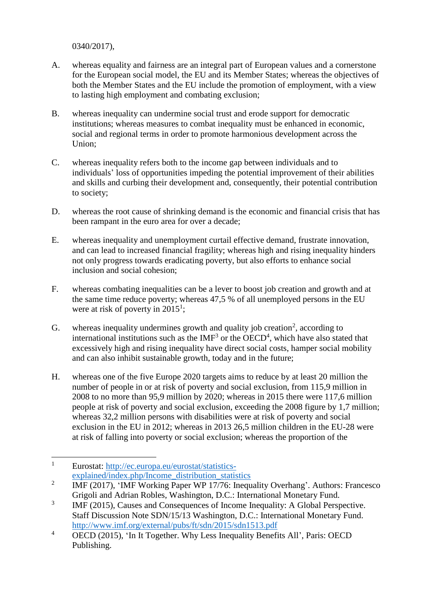0340/2017),

- A. whereas equality and fairness are an integral part of European values and a cornerstone for the European social model, the EU and its Member States; whereas the objectives of both the Member States and the EU include the promotion of employment, with a view to lasting high employment and combating exclusion;
- B. whereas inequality can undermine social trust and erode support for democratic institutions; whereas measures to combat inequality must be enhanced in economic, social and regional terms in order to promote harmonious development across the Union;
- C. whereas inequality refers both to the income gap between individuals and to individuals' loss of opportunities impeding the potential improvement of their abilities and skills and curbing their development and, consequently, their potential contribution to society;
- D. whereas the root cause of shrinking demand is the economic and financial crisis that has been rampant in the euro area for over a decade;
- E. whereas inequality and unemployment curtail effective demand, frustrate innovation, and can lead to increased financial fragility; whereas high and rising inequality hinders not only progress towards eradicating poverty, but also efforts to enhance social inclusion and social cohesion;
- F. whereas combating inequalities can be a lever to boost job creation and growth and at the same time reduce poverty; whereas 47,5 % of all unemployed persons in the EU were at risk of poverty in  $2015^1$ ;
- G. whereas inequality undermines growth and quality job creation<sup>2</sup>, according to international institutions such as the  $IMF<sup>3</sup>$  or the  $OECD<sup>4</sup>$ , which have also stated that excessively high and rising inequality have direct social costs, hamper social mobility and can also inhibit sustainable growth, today and in the future;
- H. whereas one of the five Europe 2020 targets aims to reduce by at least 20 million the number of people in or at risk of poverty and social exclusion, from 115,9 million in 2008 to no more than 95,9 million by 2020; whereas in 2015 there were 117,6 million people at risk of poverty and social exclusion, exceeding the 2008 figure by 1,7 million; whereas 32,2 million persons with disabilities were at risk of poverty and social exclusion in the EU in 2012; whereas in 2013 26,5 million children in the EU-28 were at risk of falling into poverty or social exclusion; whereas the proportion of the

 $\mathbf{1}$ <sup>1</sup> Eurostat: [http://ec.europa.eu/eurostat/statistics](http://ec.europa.eu/eurostat/statistics-explained/index.php/Income_distribution_statistics)[explained/index.php/Income\\_distribution\\_statistics](http://ec.europa.eu/eurostat/statistics-explained/index.php/Income_distribution_statistics)

<sup>2</sup> IMF (2017), 'IMF Working Paper WP 17/76: Inequality Overhang'. Authors: Francesco Grigoli and Adrian Robles, Washington, D.C.: International Monetary Fund.

<sup>3</sup> IMF (2015), Causes and Consequences of Income Inequality: A Global Perspective. Staff Discussion Note SDN/15/13 Washington, D.C.: International Monetary Fund. <http://www.imf.org/external/pubs/ft/sdn/2015/sdn1513.pdf>

<sup>4</sup> OECD (2015), 'In It Together. Why Less Inequality Benefits All', Paris: OECD Publishing.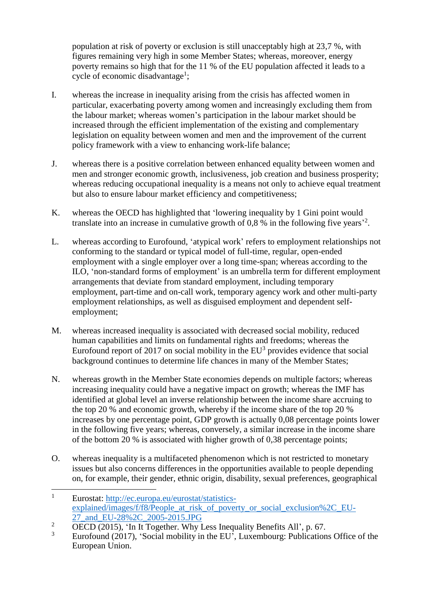population at risk of poverty or exclusion is still unacceptably high at 23,7 %, with figures remaining very high in some Member States; whereas, moreover, energy poverty remains so high that for the 11 % of the EU population affected it leads to a cycle of economic disadvantage<sup>1</sup>;

- I. whereas the increase in inequality arising from the crisis has affected women in particular, exacerbating poverty among women and increasingly excluding them from the labour market; whereas women's participation in the labour market should be increased through the efficient implementation of the existing and complementary legislation on equality between women and men and the improvement of the current policy framework with a view to enhancing work-life balance;
- J. whereas there is a positive correlation between enhanced equality between women and men and stronger economic growth, inclusiveness, job creation and business prosperity; whereas reducing occupational inequality is a means not only to achieve equal treatment but also to ensure labour market efficiency and competitiveness;
- K. whereas the OECD has highlighted that 'lowering inequality by 1 Gini point would translate into an increase in cumulative growth of  $0.8$  % in the following five years<sup>22</sup>.
- L. whereas according to Eurofound, 'atypical work' refers to employment relationships not conforming to the standard or typical model of full-time, regular, open-ended employment with a single employer over a long time-span; whereas according to the ILO, 'non-standard forms of employment' is an umbrella term for different employment arrangements that deviate from standard employment, including temporary employment, part-time and on-call work, temporary agency work and other multi-party employment relationships, as well as disguised employment and dependent selfemployment;
- M. whereas increased inequality is associated with decreased social mobility, reduced human capabilities and limits on fundamental rights and freedoms; whereas the Eurofound report of 2017 on social mobility in the  $EU^3$  provides evidence that social background continues to determine life chances in many of the Member States;
- N. whereas growth in the Member State economies depends on multiple factors; whereas increasing inequality could have a negative impact on growth; whereas the IMF has identified at global level an inverse relationship between the income share accruing to the top 20 % and economic growth, whereby if the income share of the top 20 % increases by one percentage point, GDP growth is actually 0,08 percentage points lower in the following five years; whereas, conversely, a similar increase in the income share of the bottom 20 % is associated with higher growth of 0,38 percentage points;
- O. whereas inequality is a multifaceted phenomenon which is not restricted to monetary issues but also concerns differences in the opportunities available to people depending on, for example, their gender, ethnic origin, disability, sexual preferences, geographical

 $\mathbf{1}$ <sup>1</sup> Eurostat: [http://ec.europa.eu/eurostat/statistics](http://ec.europa.eu/eurostat/statistics-explained/images/f/f8/People_at_risk_of_poverty_or_social_exclusion%2C_EU-27_and_EU-28%2C_2005-2015.JPG)explained/images/f/f8/People at risk of poverty or social exclusion%2C EU-27 and EU-28%2C 2005-2015.JPG

<sup>&</sup>lt;sup>2</sup>  $\overline{OECD}$  (2015), 'In It Together. Why Less Inequality Benefits All', p. 67.

Eurofound (2017), 'Social mobility in the EU', Luxembourg: Publications Office of the European Union.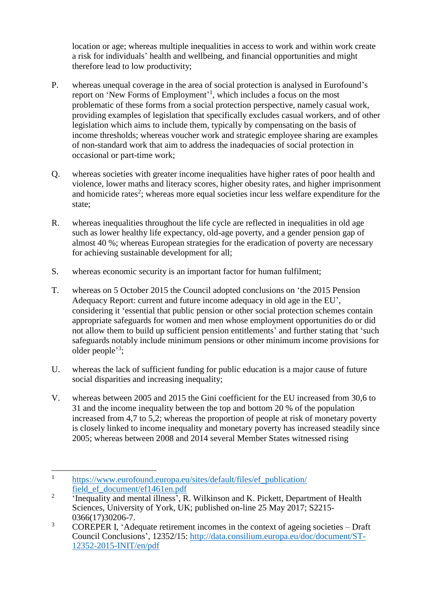location or age; whereas multiple inequalities in access to work and within work create a risk for individuals' health and wellbeing, and financial opportunities and might therefore lead to low productivity;

- P. whereas unequal coverage in the area of social protection is analysed in Eurofound's report on 'New Forms of Employment'<sup>1</sup>, which includes a focus on the most problematic of these forms from a social protection perspective, namely casual work, providing examples of legislation that specifically excludes casual workers, and of other legislation which aims to include them, typically by compensating on the basis of income thresholds; whereas voucher work and strategic employee sharing are examples of non-standard work that aim to address the inadequacies of social protection in occasional or part-time work;
- Q. whereas societies with greater income inequalities have higher rates of poor health and violence, lower maths and literacy scores, higher obesity rates, and higher imprisonment and homicide rates<sup>2</sup>; whereas more equal societies incur less welfare expenditure for the state;
- R. whereas inequalities throughout the life cycle are reflected in inequalities in old age such as lower healthy life expectancy, old-age poverty, and a gender pension gap of almost 40 %; whereas European strategies for the eradication of poverty are necessary for achieving sustainable development for all;
- S. whereas economic security is an important factor for human fulfilment;
- T. whereas on 5 October 2015 the Council adopted conclusions on 'the 2015 Pension Adequacy Report: current and future income adequacy in old age in the EU', considering it 'essential that public pension or other social protection schemes contain appropriate safeguards for women and men whose employment opportunities do or did not allow them to build up sufficient pension entitlements' and further stating that 'such safeguards notably include minimum pensions or other minimum income provisions for older people'<sup>3</sup>;
- U. whereas the lack of sufficient funding for public education is a major cause of future social disparities and increasing inequality;
- V. whereas between 2005 and 2015 the Gini coefficient for the EU increased from 30,6 to 31 and the income inequality between the top and bottom 20 % of the population increased from 4,7 to 5,2; whereas the proportion of people at risk of monetary poverty is closely linked to income inequality and monetary poverty has increased steadily since 2005; whereas between 2008 and 2014 several Member States witnessed rising

 1 [https://www.eurofound.europa.eu/sites/default/files/ef\\_publication/](https://www.eurofound.europa.eu/sites/default/files/ef_publication/field_ef_document/ef1461en.pdf) field ef document/ef1461en.pdf

<sup>2</sup> 'Inequality and mental illness', R. Wilkinson and K. Pickett, Department of Health Sciences, University of York, UK; published on-line 25 May 2017; S2215- 0366(17)30206-7.

<sup>&</sup>lt;sup>3</sup> COREPER I, 'Adequate retirement incomes in the context of ageing societies – Draft Council Conclusions', 12352/15: [http://data.consilium.europa.eu/doc/document/ST-](http://data.consilium.europa.eu/doc/document/ST-12352-2015-INIT/en/pdf)[12352-2015-INIT/en/pdf](http://data.consilium.europa.eu/doc/document/ST-12352-2015-INIT/en/pdf)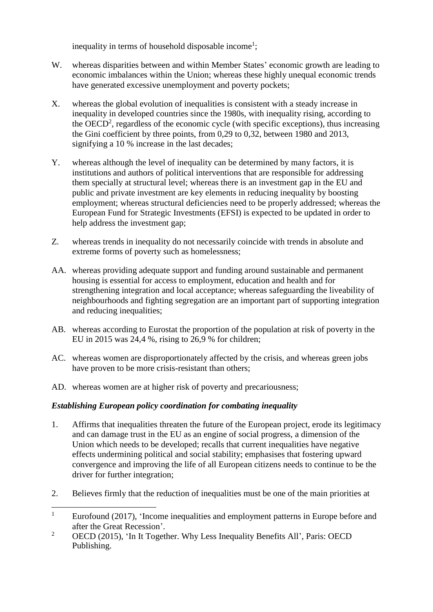inequality in terms of household disposable income<sup>1</sup>;

- W. whereas disparities between and within Member States' economic growth are leading to economic imbalances within the Union; whereas these highly unequal economic trends have generated excessive unemployment and poverty pockets;
- X. whereas the global evolution of inequalities is consistent with a steady increase in inequality in developed countries since the 1980s, with inequality rising, according to the  $OECD<sup>2</sup>$ , regardless of the economic cycle (with specific exceptions), thus increasing the Gini coefficient by three points, from 0,29 to 0,32, between 1980 and 2013, signifying a 10 % increase in the last decades;
- Y. whereas although the level of inequality can be determined by many factors, it is institutions and authors of political interventions that are responsible for addressing them specially at structural level; whereas there is an investment gap in the EU and public and private investment are key elements in reducing inequality by boosting employment; whereas structural deficiencies need to be properly addressed; whereas the European Fund for Strategic Investments (EFSI) is expected to be updated in order to help address the investment gap;
- Z. whereas trends in inequality do not necessarily coincide with trends in absolute and extreme forms of poverty such as homelessness;
- AA. whereas providing adequate support and funding around sustainable and permanent housing is essential for access to employment, education and health and for strengthening integration and local acceptance; whereas safeguarding the liveability of neighbourhoods and fighting segregation are an important part of supporting integration and reducing inequalities;
- AB. whereas according to Eurostat the proportion of the population at risk of poverty in the EU in 2015 was 24,4 %, rising to 26,9 % for children;
- AC. whereas women are disproportionately affected by the crisis, and whereas green jobs have proven to be more crisis-resistant than others;
- AD. whereas women are at higher risk of poverty and precariousness;

## *Establishing European policy coordination for combating inequality*

- 1. Affirms that inequalities threaten the future of the European project, erode its legitimacy and can damage trust in the EU as an engine of social progress, a dimension of the Union which needs to be developed; recalls that current inequalities have negative effects undermining political and social stability; emphasises that fostering upward convergence and improving the life of all European citizens needs to continue to be the driver for further integration;
- 2. Believes firmly that the reduction of inequalities must be one of the main priorities at

<sup>2</sup> OECD (2015), 'In It Together. Why Less Inequality Benefits All', Paris: OECD Publishing.

 $\mathbf{1}$ Eurofound (2017), 'Income inequalities and employment patterns in Europe before and after the Great Recession'.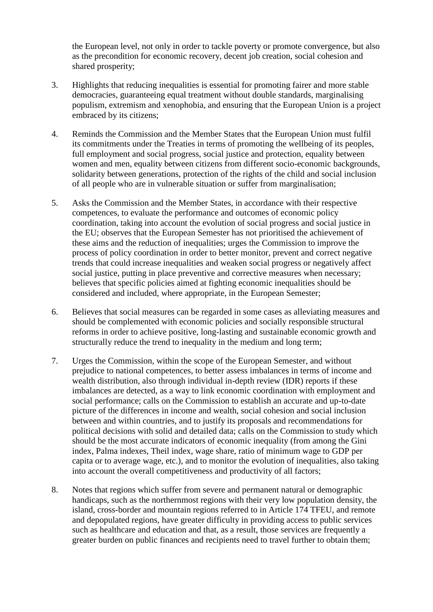the European level, not only in order to tackle poverty or promote convergence, but also as the precondition for economic recovery, decent job creation, social cohesion and shared prosperity;

- 3. Highlights that reducing inequalities is essential for promoting fairer and more stable democracies, guaranteeing equal treatment without double standards, marginalising populism, extremism and xenophobia, and ensuring that the European Union is a project embraced by its citizens;
- 4. Reminds the Commission and the Member States that the European Union must fulfil its commitments under the Treaties in terms of promoting the wellbeing of its peoples, full employment and social progress, social justice and protection, equality between women and men, equality between citizens from different socio-economic backgrounds, solidarity between generations, protection of the rights of the child and social inclusion of all people who are in vulnerable situation or suffer from marginalisation;
- 5. Asks the Commission and the Member States, in accordance with their respective competences, to evaluate the performance and outcomes of economic policy coordination, taking into account the evolution of social progress and social justice in the EU; observes that the European Semester has not prioritised the achievement of these aims and the reduction of inequalities; urges the Commission to improve the process of policy coordination in order to better monitor, prevent and correct negative trends that could increase inequalities and weaken social progress or negatively affect social justice, putting in place preventive and corrective measures when necessary; believes that specific policies aimed at fighting economic inequalities should be considered and included, where appropriate, in the European Semester;
- 6. Believes that social measures can be regarded in some cases as alleviating measures and should be complemented with economic policies and socially responsible structural reforms in order to achieve positive, long-lasting and sustainable economic growth and structurally reduce the trend to inequality in the medium and long term;
- 7. Urges the Commission, within the scope of the European Semester, and without prejudice to national competences, to better assess imbalances in terms of income and wealth distribution, also through individual in-depth review (IDR) reports if these imbalances are detected, as a way to link economic coordination with employment and social performance; calls on the Commission to establish an accurate and up-to-date picture of the differences in income and wealth, social cohesion and social inclusion between and within countries, and to justify its proposals and recommendations for political decisions with solid and detailed data; calls on the Commission to study which should be the most accurate indicators of economic inequality (from among the Gini index, Palma indexes, Theil index, wage share, ratio of minimum wage to GDP per capita or to average wage, etc.), and to monitor the evolution of inequalities, also taking into account the overall competitiveness and productivity of all factors;
- 8. Notes that regions which suffer from severe and permanent natural or demographic handicaps, such as the northernmost regions with their very low population density, the island, cross-border and mountain regions referred to in Article 174 TFEU, and remote and depopulated regions, have greater difficulty in providing access to public services such as healthcare and education and that, as a result, those services are frequently a greater burden on public finances and recipients need to travel further to obtain them;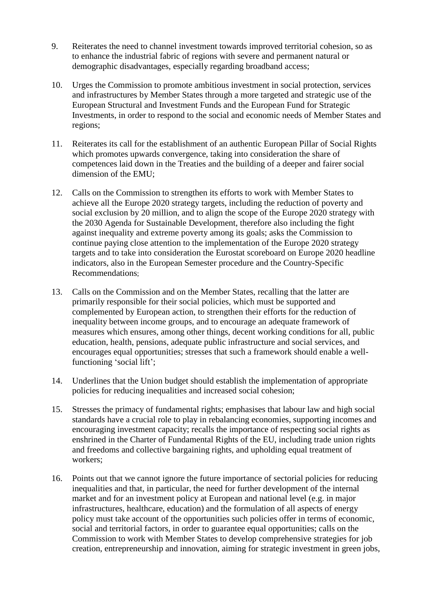- 9. Reiterates the need to channel investment towards improved territorial cohesion, so as to enhance the industrial fabric of regions with severe and permanent natural or demographic disadvantages, especially regarding broadband access;
- 10. Urges the Commission to promote ambitious investment in social protection, services and infrastructures by Member States through a more targeted and strategic use of the European Structural and Investment Funds and the European Fund for Strategic Investments, in order to respond to the social and economic needs of Member States and regions;
- 11. Reiterates its call for the establishment of an authentic European Pillar of Social Rights which promotes upwards convergence, taking into consideration the share of competences laid down in the Treaties and the building of a deeper and fairer social dimension of the EMU;
- 12. Calls on the Commission to strengthen its efforts to work with Member States to achieve all the Europe 2020 strategy targets, including the reduction of poverty and social exclusion by 20 million, and to align the scope of the Europe 2020 strategy with the 2030 Agenda for Sustainable Development, therefore also including the fight against inequality and extreme poverty among its goals; asks the Commission to continue paying close attention to the implementation of the Europe 2020 strategy targets and to take into consideration the Eurostat scoreboard on Europe 2020 headline indicators, also in the European Semester procedure and the Country-Specific Recommendations;
- 13. Calls on the Commission and on the Member States, recalling that the latter are primarily responsible for their social policies, which must be supported and complemented by European action, to strengthen their efforts for the reduction of inequality between income groups, and to encourage an adequate framework of measures which ensures, among other things, decent working conditions for all, public education, health, pensions, adequate public infrastructure and social services, and encourages equal opportunities; stresses that such a framework should enable a wellfunctioning 'social lift';
- 14. Underlines that the Union budget should establish the implementation of appropriate policies for reducing inequalities and increased social cohesion;
- 15. Stresses the primacy of fundamental rights; emphasises that labour law and high social standards have a crucial role to play in rebalancing economies, supporting incomes and encouraging investment capacity; recalls the importance of respecting social rights as enshrined in the Charter of Fundamental Rights of the EU, including trade union rights and freedoms and collective bargaining rights, and upholding equal treatment of workers;
- 16. Points out that we cannot ignore the future importance of sectorial policies for reducing inequalities and that, in particular, the need for further development of the internal market and for an investment policy at European and national level (e.g. in major infrastructures, healthcare, education) and the formulation of all aspects of energy policy must take account of the opportunities such policies offer in terms of economic, social and territorial factors, in order to guarantee equal opportunities; calls on the Commission to work with Member States to develop comprehensive strategies for job creation, entrepreneurship and innovation, aiming for strategic investment in green jobs,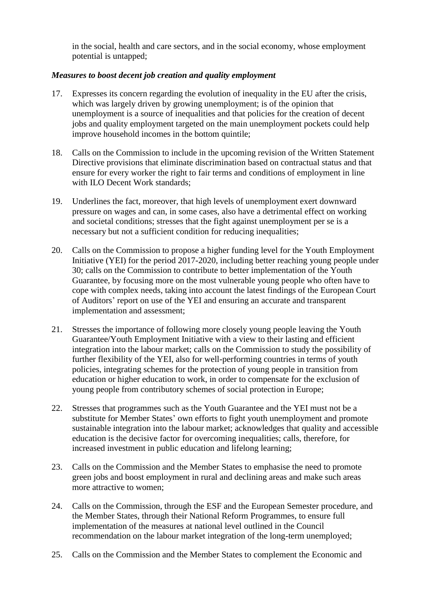in the social, health and care sectors, and in the social economy, whose employment potential is untapped;

#### *Measures to boost decent job creation and quality employment*

- 17. Expresses its concern regarding the evolution of inequality in the EU after the crisis, which was largely driven by growing unemployment; is of the opinion that unemployment is a source of inequalities and that policies for the creation of decent jobs and quality employment targeted on the main unemployment pockets could help improve household incomes in the bottom quintile;
- 18. Calls on the Commission to include in the upcoming revision of the Written Statement Directive provisions that eliminate discrimination based on contractual status and that ensure for every worker the right to fair terms and conditions of employment in line with ILO Decent Work standards:
- 19. Underlines the fact, moreover, that high levels of unemployment exert downward pressure on wages and can, in some cases, also have a detrimental effect on working and societal conditions; stresses that the fight against unemployment per se is a necessary but not a sufficient condition for reducing inequalities;
- 20. Calls on the Commission to propose a higher funding level for the Youth Employment Initiative (YEI) for the period 2017-2020, including better reaching young people under 30; calls on the Commission to contribute to better implementation of the Youth Guarantee, by focusing more on the most vulnerable young people who often have to cope with complex needs, taking into account the latest findings of the European Court of Auditors' report on use of the YEI and ensuring an accurate and transparent implementation and assessment;
- 21. Stresses the importance of following more closely young people leaving the Youth Guarantee/Youth Employment Initiative with a view to their lasting and efficient integration into the labour market; calls on the Commission to study the possibility of further flexibility of the YEI, also for well-performing countries in terms of youth policies, integrating schemes for the protection of young people in transition from education or higher education to work, in order to compensate for the exclusion of young people from contributory schemes of social protection in Europe;
- 22. Stresses that programmes such as the Youth Guarantee and the YEI must not be a substitute for Member States' own efforts to fight youth unemployment and promote sustainable integration into the labour market; acknowledges that quality and accessible education is the decisive factor for overcoming inequalities; calls, therefore, for increased investment in public education and lifelong learning;
- 23. Calls on the Commission and the Member States to emphasise the need to promote green jobs and boost employment in rural and declining areas and make such areas more attractive to women;
- 24. Calls on the Commission, through the ESF and the European Semester procedure, and the Member States, through their National Reform Programmes, to ensure full implementation of the measures at national level outlined in the Council recommendation on the labour market integration of the long-term unemployed;
- 25. Calls on the Commission and the Member States to complement the Economic and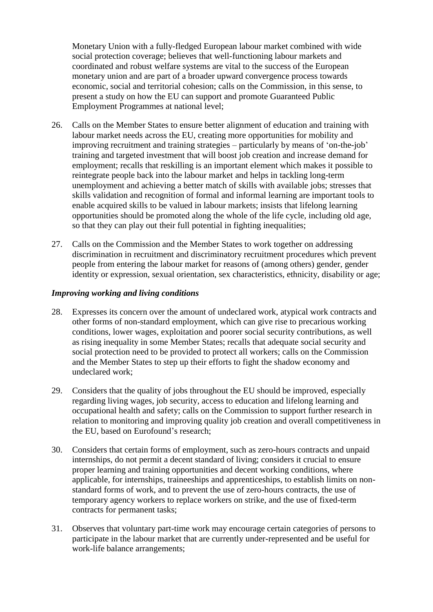Monetary Union with a fully-fledged European labour market combined with wide social protection coverage; believes that well-functioning labour markets and coordinated and robust welfare systems are vital to the success of the European monetary union and are part of a broader upward convergence process towards economic, social and territorial cohesion; calls on the Commission, in this sense, to present a study on how the EU can support and promote Guaranteed Public Employment Programmes at national level;

- 26. Calls on the Member States to ensure better alignment of education and training with labour market needs across the EU, creating more opportunities for mobility and improving recruitment and training strategies – particularly by means of 'on-the-job' training and targeted investment that will boost job creation and increase demand for employment; recalls that reskilling is an important element which makes it possible to reintegrate people back into the labour market and helps in tackling long-term unemployment and achieving a better match of skills with available jobs; stresses that skills validation and recognition of formal and informal learning are important tools to enable acquired skills to be valued in labour markets; insists that lifelong learning opportunities should be promoted along the whole of the life cycle, including old age, so that they can play out their full potential in fighting inequalities;
- 27. Calls on the Commission and the Member States to work together on addressing discrimination in recruitment and discriminatory recruitment procedures which prevent people from entering the labour market for reasons of (among others) gender, gender identity or expression, sexual orientation, sex characteristics, ethnicity, disability or age;

#### *Improving working and living conditions*

- 28. Expresses its concern over the amount of undeclared work, atypical work contracts and other forms of non-standard employment, which can give rise to precarious working conditions, lower wages, exploitation and poorer social security contributions, as well as rising inequality in some Member States; recalls that adequate social security and social protection need to be provided to protect all workers; calls on the Commission and the Member States to step up their efforts to fight the shadow economy and undeclared work;
- 29. Considers that the quality of jobs throughout the EU should be improved, especially regarding living wages, job security, access to education and lifelong learning and occupational health and safety; calls on the Commission to support further research in relation to monitoring and improving quality job creation and overall competitiveness in the EU, based on Eurofound's research;
- 30. Considers that certain forms of employment, such as zero-hours contracts and unpaid internships, do not permit a decent standard of living; considers it crucial to ensure proper learning and training opportunities and decent working conditions, where applicable, for internships, traineeships and apprenticeships, to establish limits on nonstandard forms of work, and to prevent the use of zero-hours contracts, the use of temporary agency workers to replace workers on strike, and the use of fixed-term contracts for permanent tasks;
- 31. Observes that voluntary part-time work may encourage certain categories of persons to participate in the labour market that are currently under-represented and be useful for work-life balance arrangements;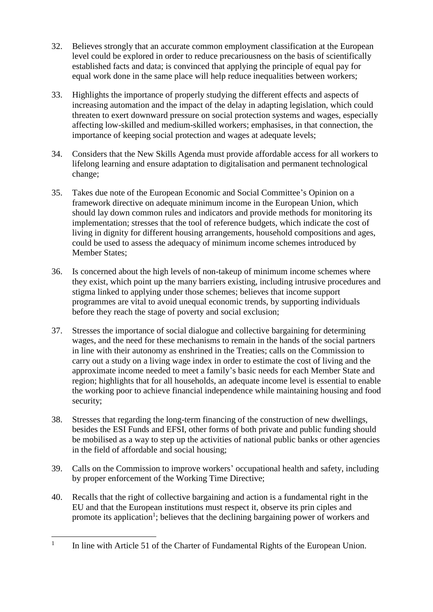- 32. Believes strongly that an accurate common employment classification at the European level could be explored in order to reduce precariousness on the basis of scientifically established facts and data; is convinced that applying the principle of equal pay for equal work done in the same place will help reduce inequalities between workers;
- 33. Highlights the importance of properly studying the different effects and aspects of increasing automation and the impact of the delay in adapting legislation, which could threaten to exert downward pressure on social protection systems and wages, especially affecting low-skilled and medium-skilled workers; emphasises, in that connection, the importance of keeping social protection and wages at adequate levels;
- 34. Considers that the New Skills Agenda must provide affordable access for all workers to lifelong learning and ensure adaptation to digitalisation and permanent technological change;
- 35. Takes due note of the European Economic and Social Committee's Opinion on a framework directive on adequate minimum income in the European Union, which should lay down common rules and indicators and provide methods for monitoring its implementation; stresses that the tool of reference budgets, which indicate the cost of living in dignity for different housing arrangements, household compositions and ages, could be used to assess the adequacy of minimum income schemes introduced by Member States;
- 36. Is concerned about the high levels of non-takeup of minimum income schemes where they exist, which point up the many barriers existing, including intrusive procedures and stigma linked to applying under those schemes; believes that income support programmes are vital to avoid unequal economic trends, by supporting individuals before they reach the stage of poverty and social exclusion;
- 37. Stresses the importance of social dialogue and collective bargaining for determining wages, and the need for these mechanisms to remain in the hands of the social partners in line with their autonomy as enshrined in the Treaties; calls on the Commission to carry out a study on a living wage index in order to estimate the cost of living and the approximate income needed to meet a family's basic needs for each Member State and region; highlights that for all households, an adequate income level is essential to enable the working poor to achieve financial independence while maintaining housing and food security;
- 38. Stresses that regarding the long-term financing of the construction of new dwellings, besides the ESI Funds and EFSI, other forms of both private and public funding should be mobilised as a way to step up the activities of national public banks or other agencies in the field of affordable and social housing;
- 39. Calls on the Commission to improve workers' occupational health and safety, including by proper enforcement of the Working Time Directive;
- 40. Recalls that the right of collective bargaining and action is a fundamental right in the EU and that the European institutions must respect it, observe its prin ciples and promote its application<sup>1</sup>; believes that the declining bargaining power of workers and

 $\overline{a}$ 1 In line with Article 51 of the Charter of Fundamental Rights of the European Union.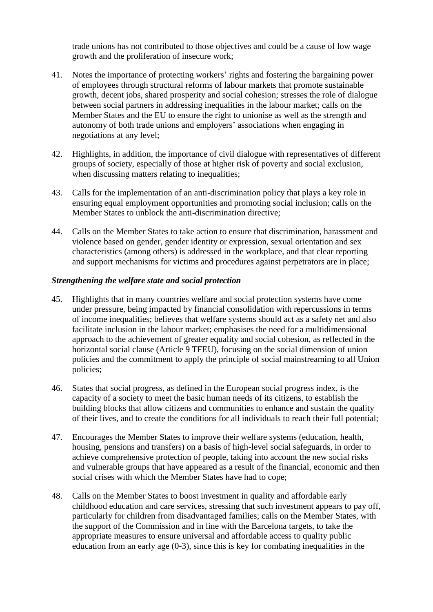trade unions has not contributed to those objectives and could be a cause of low wage growth and the proliferation of insecure work;

- 41. Notes the importance of protecting workers' rights and fostering the bargaining power of employees through structural reforms of labour markets that promote sustainable growth, decent jobs, shared prosperity and social cohesion; stresses the role of dialogue between social partners in addressing inequalities in the labour market; calls on the Member States and the EU to ensure the right to unionise as well as the strength and autonomy of both trade unions and employers' associations when engaging in negotiations at any level;
- 42. Highlights, in addition, the importance of civil dialogue with representatives of different groups of society, especially of those at higher risk of poverty and social exclusion, when discussing matters relating to inequalities;
- 43. Calls for the implementation of an anti-discrimination policy that plays a key role in ensuring equal employment opportunities and promoting social inclusion; calls on the Member States to unblock the anti-discrimination directive;
- 44. Calls on the Member States to take action to ensure that discrimination, harassment and violence based on gender, gender identity or expression, sexual orientation and sex characteristics (among others) is addressed in the workplace, and that clear reporting and support mechanisms for victims and procedures against perpetrators are in place;

#### *Strengthening the welfare state and social protection*

- 45. Highlights that in many countries welfare and social protection systems have come under pressure, being impacted by financial consolidation with repercussions in terms of income inequalities; believes that welfare systems should act as a safety net and also facilitate inclusion in the labour market; emphasises the need for a multidimensional approach to the achievement of greater equality and social cohesion, as reflected in the horizontal social clause (Article 9 TFEU), focusing on the social dimension of union policies and the commitment to apply the principle of social mainstreaming to all Union policies;
- 46. States that social progress, as defined in the European social progress index, is the capacity of a society to meet the basic human needs of its citizens, to establish the building blocks that allow citizens and communities to enhance and sustain the quality of their lives, and to create the conditions for all individuals to reach their full potential;
- 47. Encourages the Member States to improve their welfare systems (education, health, housing, pensions and transfers) on a basis of high-level social safeguards, in order to achieve comprehensive protection of people, taking into account the new social risks and vulnerable groups that have appeared as a result of the financial, economic and then social crises with which the Member States have had to cope;
- 48. Calls on the Member States to boost investment in quality and affordable early childhood education and care services, stressing that such investment appears to pay off, particularly for children from disadvantaged families; calls on the Member States, with the support of the Commission and in line with the Barcelona targets, to take the appropriate measures to ensure universal and affordable access to quality public education from an early age (0-3), since this is key for combating inequalities in the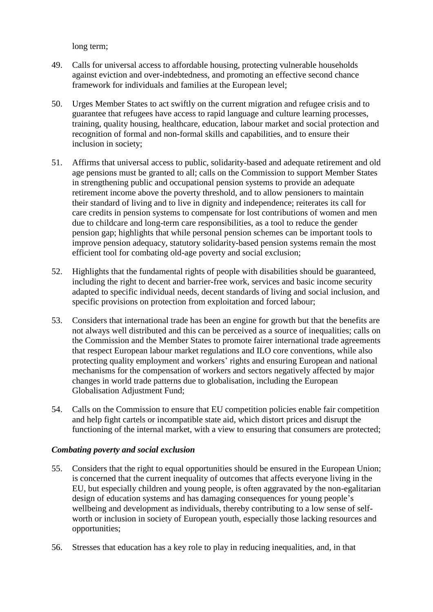long term;

- 49. Calls for universal access to affordable housing, protecting vulnerable households against eviction and over-indebtedness, and promoting an effective second chance framework for individuals and families at the European level;
- 50. Urges Member States to act swiftly on the current migration and refugee crisis and to guarantee that refugees have access to rapid language and culture learning processes, training, quality housing, healthcare, education, labour market and social protection and recognition of formal and non-formal skills and capabilities, and to ensure their inclusion in society;
- 51. Affirms that universal access to public, solidarity-based and adequate retirement and old age pensions must be granted to all; calls on the Commission to support Member States in strengthening public and occupational pension systems to provide an adequate retirement income above the poverty threshold, and to allow pensioners to maintain their standard of living and to live in dignity and independence; reiterates its call for care credits in pension systems to compensate for lost contributions of women and men due to childcare and long-term care responsibilities, as a tool to reduce the gender pension gap; highlights that while personal pension schemes can be important tools to improve pension adequacy, statutory solidarity-based pension systems remain the most efficient tool for combating old-age poverty and social exclusion;
- 52. Highlights that the fundamental rights of people with disabilities should be guaranteed, including the right to decent and barrier-free work, services and basic income security adapted to specific individual needs, decent standards of living and social inclusion, and specific provisions on protection from exploitation and forced labour;
- 53. Considers that international trade has been an engine for growth but that the benefits are not always well distributed and this can be perceived as a source of inequalities; calls on the Commission and the Member States to promote fairer international trade agreements that respect European labour market regulations and ILO core conventions, while also protecting quality employment and workers' rights and ensuring European and national mechanisms for the compensation of workers and sectors negatively affected by major changes in world trade patterns due to globalisation, including the European Globalisation Adjustment Fund;
- 54. Calls on the Commission to ensure that EU competition policies enable fair competition and help fight cartels or incompatible state aid, which distort prices and disrupt the functioning of the internal market, with a view to ensuring that consumers are protected;

#### *Combating poverty and social exclusion*

- 55. Considers that the right to equal opportunities should be ensured in the European Union; is concerned that the current inequality of outcomes that affects everyone living in the EU, but especially children and young people, is often aggravated by the non-egalitarian design of education systems and has damaging consequences for young people's wellbeing and development as individuals, thereby contributing to a low sense of selfworth or inclusion in society of European youth, especially those lacking resources and opportunities;
- 56. Stresses that education has a key role to play in reducing inequalities, and, in that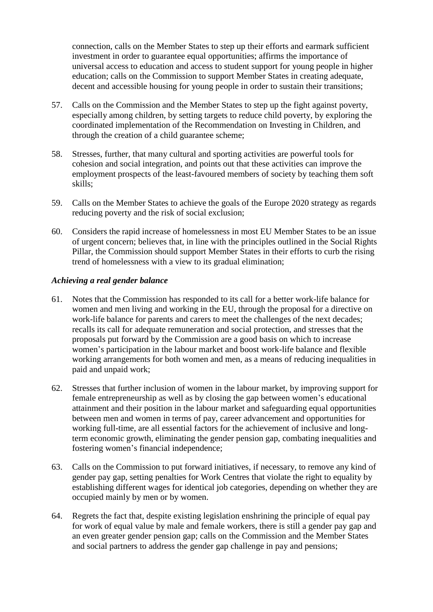connection, calls on the Member States to step up their efforts and earmark sufficient investment in order to guarantee equal opportunities; affirms the importance of universal access to education and access to student support for young people in higher education; calls on the Commission to support Member States in creating adequate, decent and accessible housing for young people in order to sustain their transitions;

- 57. Calls on the Commission and the Member States to step up the fight against poverty, especially among children, by setting targets to reduce child poverty, by exploring the coordinated implementation of the Recommendation on Investing in Children, and through the creation of a child guarantee scheme;
- 58. Stresses, further, that many cultural and sporting activities are powerful tools for cohesion and social integration, and points out that these activities can improve the employment prospects of the least-favoured members of society by teaching them soft skills;
- 59. Calls on the Member States to achieve the goals of the Europe 2020 strategy as regards reducing poverty and the risk of social exclusion;
- 60. Considers the rapid increase of homelessness in most EU Member States to be an issue of urgent concern; believes that, in line with the principles outlined in the Social Rights Pillar, the Commission should support Member States in their efforts to curb the rising trend of homelessness with a view to its gradual elimination;

#### *Achieving a real gender balance*

- 61. Notes that the Commission has responded to its call for a better work-life balance for women and men living and working in the EU, through the proposal for a directive on work-life balance for parents and carers to meet the challenges of the next decades; recalls its call for adequate remuneration and social protection, and stresses that the proposals put forward by the Commission are a good basis on which to increase women's participation in the labour market and boost work-life balance and flexible working arrangements for both women and men, as a means of reducing inequalities in paid and unpaid work;
- 62. Stresses that further inclusion of women in the labour market, by improving support for female entrepreneurship as well as by closing the gap between women's educational attainment and their position in the labour market and safeguarding equal opportunities between men and women in terms of pay, career advancement and opportunities for working full-time, are all essential factors for the achievement of inclusive and longterm economic growth, eliminating the gender pension gap, combating inequalities and fostering women's financial independence;
- 63. Calls on the Commission to put forward initiatives, if necessary, to remove any kind of gender pay gap, setting penalties for Work Centres that violate the right to equality by establishing different wages for identical job categories, depending on whether they are occupied mainly by men or by women.
- 64. Regrets the fact that, despite existing legislation enshrining the principle of equal pay for work of equal value by male and female workers, there is still a gender pay gap and an even greater gender pension gap; calls on the Commission and the Member States and social partners to address the gender gap challenge in pay and pensions;